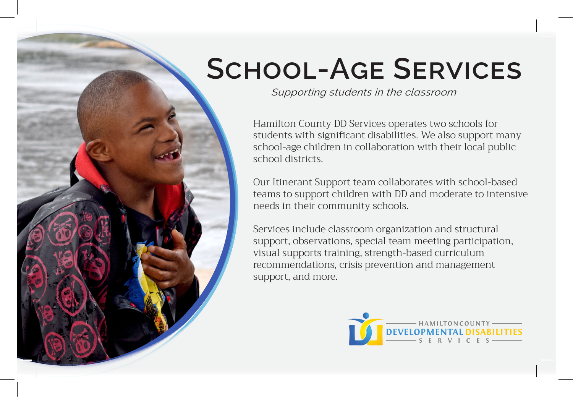## **School-Age Services**

*Supporting students in the classroom*

Hamilton County DD Services operates two schools for students with significant disabilities. We also support many school-age children in collaboration with their local public school districts.

Our Itinerant Support team collaborates with school-based teams to support children with DD and moderate to intensive needs in their community schools.

Services include classroom organization and structural support, observations, special team meeting participation, visual supports training, strength-based curriculum recommendations, crisis prevention and management support, and more.